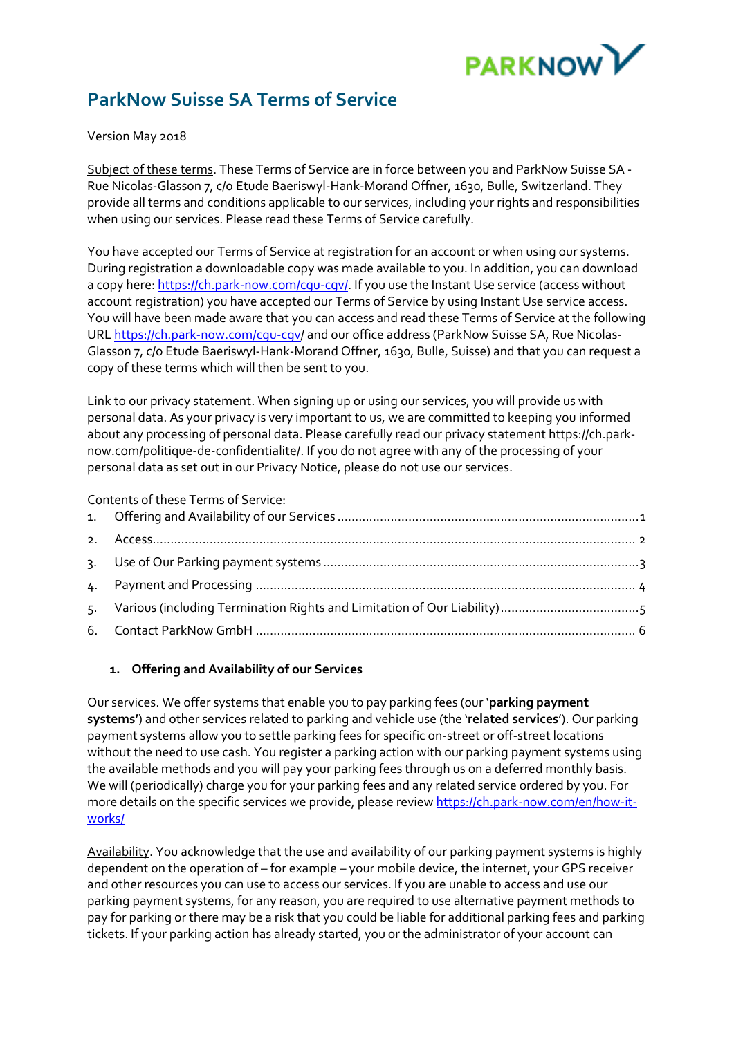

# **ParkNow Suisse SA Terms of Service**

Version May 2018

Subject of these terms. These Terms of Service are in force between you and ParkNow Suisse SA - Rue Nicolas-Glasson 7, c/o Etude Baeriswyl-Hank-Morand Offner, 1630, Bulle, Switzerland. They provide all terms and conditions applicable to our services, including your rights and responsibilities when using our services. Please read these Terms of Service carefully.

You have accepted our Terms of Service at registration for an account or when using our systems. During registration a downloadable copy was made available to you. In addition, you can download a copy here: https://ch.park-now.com/cqu-cqv/. If you use the Instant Use service (access without account registration) you have accepted our Terms of Service by using Instant Use service access. You will have been made aware that you can access and read these Terms of Service at the following UR[L https://ch.park-now.com/cgu-cgv/](https://ch.park-now.com/cgu-cgv) and our office address (ParkNow Suisse SA, Rue Nicolas-Glasson 7, c/o Etude Baeriswyl-Hank-Morand Offner, 1630, Bulle, Suisse) and that you can request a copy of these terms which will then be sent to you.

Link to our privacy statement. When signing up or using our services, you will provide us with personal data. As your privacy is very important to us, we are committed to keeping you informed about any processing of personal data. Please carefully read our privacy statement https://ch.parknow.com/politique-de-confidentialite/. If you do not agree with any of the processing of your personal data as set out in our Privacy Notice, please do not use our services.

#### Contents of these Terms of Service:

## <span id="page-0-0"></span>**1. Offering and Availability of our Services**

Our services. We offer systems that enable you to pay parking fees (our '**parking payment systems'**) and other services related to parking and vehicle use (the '**related services**'). Our parking payment systems allow you to settle parking fees for specific on-street or off-street locations without the need to use cash. You register a parking action with our parking payment systems using the available methods and you will pay your parking fees through us on a deferred monthly basis. We will (periodically) charge you for your parking fees and any related service ordered by you. For more details on the specific services we provide, please review [https://ch.park-now.com/en/how-it](https://ch.park-now.com/en/how-it-works/)works/

Availability. You acknowledge that the use and availability of our parking payment systems is highly dependent on the operation of – for example – your mobile device, the internet, your GPS receiver and other resources you can use to access our services. If you are unable to access and use our parking payment systems, for any reason, you are required to use alternative payment methods to pay for parking or there may be a risk that you could be liable for additional parking fees and parking tickets. If your parking action has already started, you or the administrator of your account can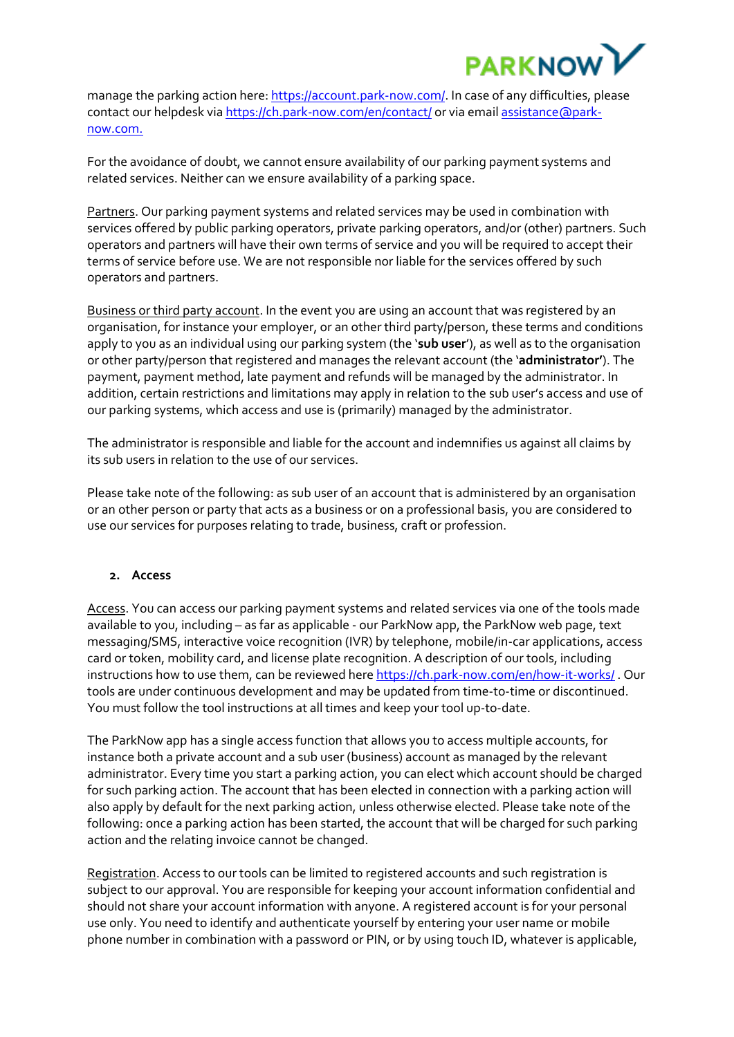

manage the parking action here: [https://account.park-now.com/.](https://account.park-now.com/) In case of any difficulties, please contact our helpdesk via <https://ch.park-now.com/en/contact/> or via email [assistance@park](mailto:assistance@park-now.com)[now.com.](mailto:assistance@park-now.com)

For the avoidance of doubt, we cannot ensure availability of our parking payment systems and related services. Neither can we ensure availability of a parking space.

Partners. Our parking payment systems and related services may be used in combination with services offered by public parking operators, private parking operators, and/or (other) partners. Such operators and partners will have their own terms of service and you will be required to accept their terms of service before use. We are not responsible nor liable for the services offered by such operators and partners.

Business or third party account. In the event you are using an account that was registered by an organisation, for instance your employer, or an other third party/person, these terms and conditions apply to you as an individual using our parking system (the '**sub user**'), as well as to the organisation or other party/person that registered and manages the relevant account (the '**administrator'**). The payment, payment method, late payment and refunds will be managed by the administrator. In addition, certain restrictions and limitations may apply in relation to the sub user's access and use of our parking systems, which access and use is (primarily) managed by the administrator.

The administrator is responsible and liable for the account and indemnifies us against all claims by its sub users in relation to the use of our services.

Please take note of the following: as sub user of an account that is administered by an organisation or an other person or party that acts as a business or on a professional basis, you are considered to use our services for purposes relating to trade, business, craft or profession.

#### <span id="page-1-0"></span>**2. Access**

Access. You can access our parking payment systems and related services via one of the tools made available to you, including – as far as applicable - our ParkNow app, the ParkNow web page, text messaging/SMS, interactive voice recognition (IVR) by telephone, mobile/in-car applications, access card or token, mobility card, and license plate recognition. A description of our tools, including instructions how to use them, can be reviewed her[e https://ch.park-now.com/en/how-it-works/](https://ch.park-now.com/en/how-it-works/) . Our tools are under continuous development and may be updated from time-to-time or discontinued. You must follow the tool instructions at all times and keep your tool up-to-date.

The ParkNow app has a single access function that allows you to access multiple accounts, for instance both a private account and a sub user (business) account as managed by the relevant administrator. Every time you start a parking action, you can elect which account should be charged for such parking action. The account that has been elected in connection with a parking action will also apply by default for the next parking action, unless otherwise elected. Please take note of the following: once a parking action has been started, the account that will be charged for such parking action and the relating invoice cannot be changed.

Registration. Access to our tools can be limited to registered accounts and such registration is subject to our approval. You are responsible for keeping your account information confidential and should not share your account information with anyone. A registered account is for your personal use only. You need to identify and authenticate yourself by entering your user name or mobile phone number in combination with a password or PIN, or by using touch ID, whatever is applicable,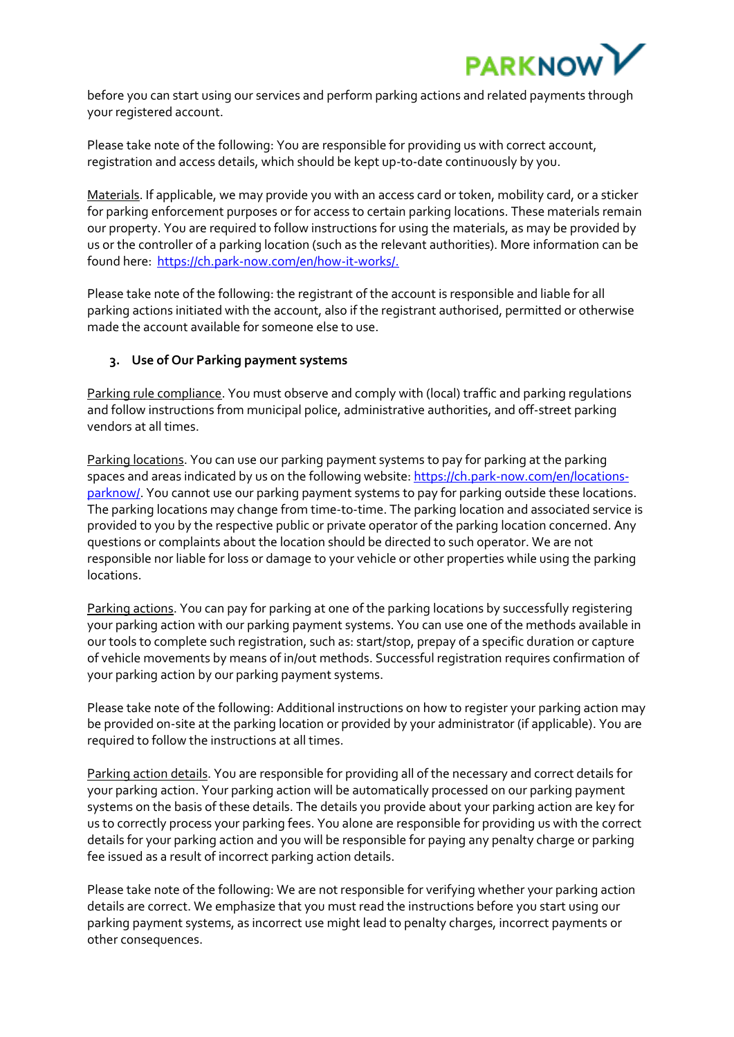

before you can start using our services and perform parking actions and related payments through your registered account.

Please take note of the following: You are responsible for providing us with correct account, registration and access details, which should be kept up-to-date continuously by you.

Materials. If applicable, we may provide you with an access card or token, mobility card, or a sticker for parking enforcement purposes or for access to certain parking locations. These materials remain our property. You are required to follow instructions for using the materials, as may be provided by us or the controller of a parking location (such as the relevant authorities). More information can be found here: [https://ch.park-now.com/en/how-it-works/.](https://ch.park-now.com/en/how-it-works/)

Please take note of the following: the registrant of the account is responsible and liable for all parking actions initiated with the account, also if the registrant authorised, permitted or otherwise made the account available for someone else to use.

## <span id="page-2-0"></span>**3. Use of Our Parking payment systems**

Parking rule compliance. You must observe and comply with (local) traffic and parking regulations and follow instructions from municipal police, administrative authorities, and off-street parking vendors at all times.

Parking locations. You can use our parking payment systems to pay for parking at the parking spaces and areas indicated by us on the following website: [https://ch.park-now.com/en/locations](https://ch.park-now.com/en/locations-parknow/)[parknow/.](https://ch.park-now.com/en/locations-parknow/) You cannot use our parking payment systems to pay for parking outside these locations. The parking locations may change from time-to-time. The parking location and associated service is provided to you by the respective public or private operator of the parking location concerned. Any questions or complaints about the location should be directed to such operator. We are not responsible nor liable for loss or damage to your vehicle or other properties while using the parking locations.

Parking actions. You can pay for parking at one of the parking locations by successfully registering your parking action with our parking payment systems. You can use one of the methods available in our tools to complete such registration, such as: start/stop, prepay of a specific duration or capture of vehicle movements by means of in/out methods. Successful registration requires confirmation of your parking action by our parking payment systems.

Please take note of the following: Additional instructions on how to register your parking action may be provided on-site at the parking location or provided by your administrator (if applicable). You are required to follow the instructions at all times.

Parking action details. You are responsible for providing all of the necessary and correct details for your parking action. Your parking action will be automatically processed on our parking payment systems on the basis of these details. The details you provide about your parking action are key for us to correctly process your parking fees. You alone are responsible for providing us with the correct details for your parking action and you will be responsible for paying any penalty charge or parking fee issued as a result of incorrect parking action details.

Please take note of the following: We are not responsible for verifying whether your parking action details are correct. We emphasize that you must read the instructions before you start using our parking payment systems, as incorrect use might lead to penalty charges, incorrect payments or other consequences.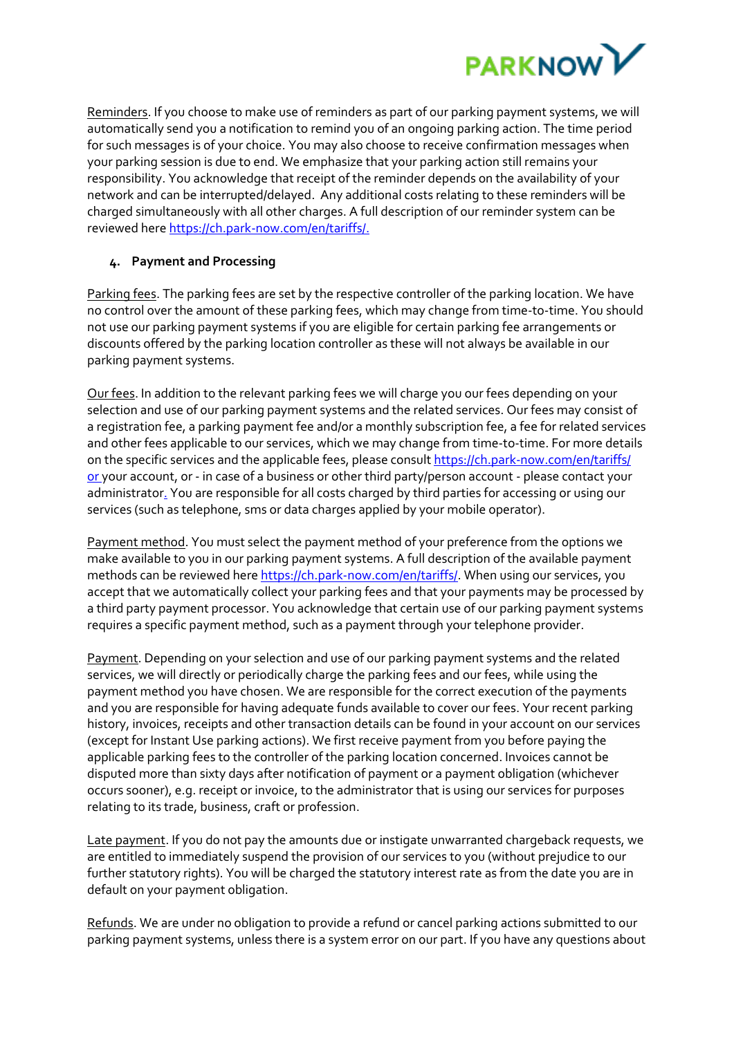

Reminders. If you choose to make use of reminders as part of our parking payment systems, we will automatically send you a notification to remind you of an ongoing parking action. The time period for such messages is of your choice. You may also choose to receive confirmation messages when your parking session is due to end. We emphasize that your parking action still remains your responsibility. You acknowledge that receipt of the reminder depends on the availability of your network and can be interrupted/delayed. Any additional costs relating to these reminders will be charged simultaneously with all other charges. A full description of our reminder system can be reviewed her[e https://ch.park-now.com/en/tariffs/.](https://ch.park-now.com/en/tariffs/)

# <span id="page-3-0"></span>**4. Payment and Processing**

Parking fees. The parking fees are set by the respective controller of the parking location. We have no control over the amount of these parking fees, which may change from time-to-time. You should not use our parking payment systems if you are eligible for certain parking fee arrangements or discounts offered by the parking location controller as these will not always be available in our parking payment systems.

Our fees. In addition to the relevant parking fees we will charge you our fees depending on your selection and use of our parking payment systems and the related services. Our fees may consist of a registration fee, a parking payment fee and/or a monthly subscription fee, a fee for related services and other fees applicable to our services, which we may change from time-to-time. For more details on the specific services and the applicable fees, please consult<https://ch.park-now.com/en/tariffs/> or your account, or - in case of a business or other third party/person account - please contact your administrator. You are responsible for all costs charged by third parties for accessing or using our services (such as telephone, sms or data charges applied by your mobile operator).

Payment method. You must select the payment method of your preference from the options we make available to you in our parking payment systems. A full description of the available payment methods can be reviewed her[e https://ch.park-now.com/en/tariffs/.](https://ch.park-now.com/en/tariffs/) When using our services, you accept that we automatically collect your parking fees and that your payments may be processed by a third party payment processor. You acknowledge that certain use of our parking payment systems requires a specific payment method, such as a payment through your telephone provider.

Payment. Depending on your selection and use of our parking payment systems and the related services, we will directly or periodically charge the parking fees and our fees, while using the payment method you have chosen. We are responsible for the correct execution of the payments and you are responsible for having adequate funds available to cover our fees. Your recent parking history, invoices, receipts and other transaction details can be found in your account on our services (except for Instant Use parking actions). We first receive payment from you before paying the applicable parking fees to the controller of the parking location concerned. Invoices cannot be disputed more than sixty days after notification of payment or a payment obligation (whichever occurs sooner), e.g. receipt or invoice, to the administrator that is using our services for purposes relating to its trade, business, craft or profession.

Late payment. If you do not pay the amounts due or instigate unwarranted chargeback requests, we are entitled to immediately suspend the provision of our services to you (without prejudice to our further statutory rights). You will be charged the statutory interest rate as from the date you are in default on your payment obligation.

Refunds. We are under no obligation to provide a refund or cancel parking actions submitted to our parking payment systems, unless there is a system error on our part. If you have any questions about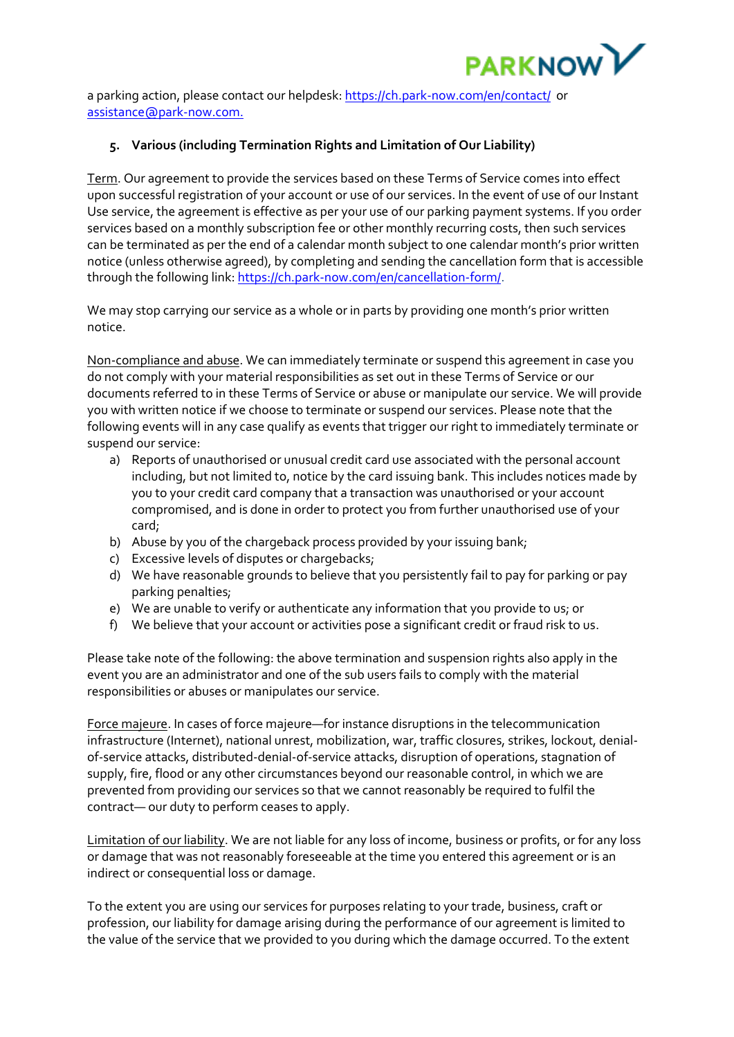

a parking action, please contact our helpdesk: <https://ch.park-now.com/en/contact/>or [assistance@park-now.com.](mailto:assistance@park-now.com)

# <span id="page-4-0"></span>**5. Various (including Termination Rights and Limitation of Our Liability)**

Term. Our agreement to provide the services based on these Terms of Service comes into effect upon successful registration of your account or use of our services. In the event of use of our Instant Use service, the agreement is effective as per your use of our parking payment systems. If you order services based on a monthly subscription fee or other monthly recurring costs, then such services can be terminated as per the end of a calendar month subject to one calendar month's prior written notice (unless otherwise agreed), by completing and sending the cancellation form that is accessible through the following link: [https://ch.park-now.com/en/cancellation-form/.](https://ch.park-now.com/en/cancellation-form/)

We may stop carrying our service as a whole or in parts by providing one month's prior written notice.

Non-compliance and abuse. We can immediately terminate or suspend this agreement in case you do not comply with your material responsibilities as set out in these Terms of Service or our documents referred to in these Terms of Service or abuse or manipulate our service. We will provide you with written notice if we choose to terminate or suspend our services. Please note that the following events will in any case qualify as events that trigger our right to immediately terminate or suspend our service:

- a) Reports of unauthorised or unusual credit card use associated with the personal account including, but not limited to, notice by the card issuing bank. This includes notices made by you to your credit card company that a transaction was unauthorised or your account compromised, and is done in order to protect you from further unauthorised use of your card;
- b) Abuse by you of the chargeback process provided by your issuing bank;
- c) Excessive levels of disputes or chargebacks;
- d) We have reasonable grounds to believe that you persistently fail to pay for parking or pay parking penalties;
- e) We are unable to verify or authenticate any information that you provide to us; or
- f) We believe that your account or activities pose a significant credit or fraud risk to us.

Please take note of the following: the above termination and suspension rights also apply in the event you are an administrator and one of the sub users fails to comply with the material responsibilities or abuses or manipulates our service.

Force majeure. In cases of force majeure—for instance disruptions in the telecommunication infrastructure (Internet), national unrest, mobilization, war, traffic closures, strikes, lockout, denialof-service attacks, distributed-denial-of-service attacks, disruption of operations, stagnation of supply, fire, flood or any other circumstances beyond our reasonable control, in which we are prevented from providing our services so that we cannot reasonably be required to fulfil the contract— our duty to perform ceases to apply.

Limitation of our liability. We are not liable for any loss of income, business or profits, or for any loss or damage that was not reasonably foreseeable at the time you entered this agreement or is an indirect or consequential loss or damage.

To the extent you are using our services for purposes relating to your trade, business, craft or profession, our liability for damage arising during the performance of our agreement is limited to the value of the service that we provided to you during which the damage occurred. To the extent